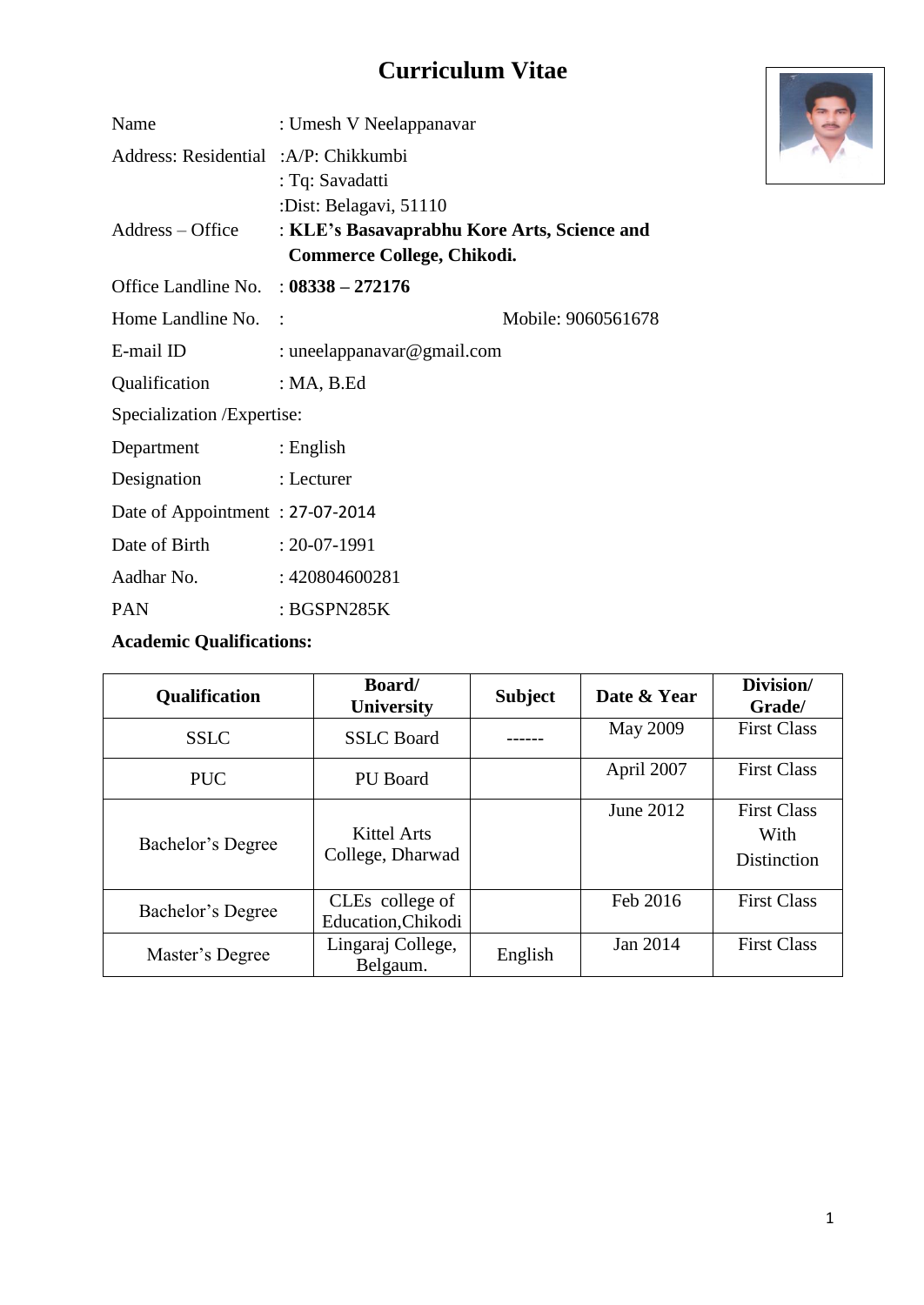# **Curriculum Vitae**

| Name                                   | : Umesh V Neelappanavar                                                                                    |                    |
|----------------------------------------|------------------------------------------------------------------------------------------------------------|--------------------|
| Address: Residential :A/P: Chikkumbi   | : Tq: Savadatti                                                                                            |                    |
| $Address - Office$                     | :Dist: Belagavi, 51110<br>: KLE's Basavaprabhu Kore Arts, Science and<br><b>Commerce College, Chikodi.</b> |                    |
| Office Landline No. : $08338 - 272176$ |                                                                                                            |                    |
| Home Landline No.                      |                                                                                                            | Mobile: 9060561678 |
| E-mail ID                              | : uneelappanavar@gmail.com                                                                                 |                    |
| Qualification                          | : $MA$ , $B$ . Ed                                                                                          |                    |
| Specialization / Expertise:            |                                                                                                            |                    |
| Department                             | $\therefore$ English                                                                                       |                    |
| Designation                            | : Lecturer                                                                                                 |                    |
| Date of Appointment: 27-07-2014        |                                                                                                            |                    |
| Date of Birth                          | $: 20 - 07 - 1991$                                                                                         |                    |
| Aadhar No.                             | : 420804600281                                                                                             |                    |
| <b>PAN</b>                             | : BGSPN285K                                                                                                |                    |

### **Academic Qualifications:**

| Qualification     | Board/<br><b>University</b>           | <b>Subject</b> | Date & Year     | Division/<br>Grade/                              |
|-------------------|---------------------------------------|----------------|-----------------|--------------------------------------------------|
| <b>SSLC</b>       | <b>SSLC</b> Board                     |                | <b>May 2009</b> | <b>First Class</b>                               |
| <b>PUC</b>        | <b>PU</b> Board                       |                | April 2007      | <b>First Class</b>                               |
| Bachelor's Degree | Kittel Arts<br>College, Dharwad       |                | June 2012       | <b>First Class</b><br>With<br><b>Distinction</b> |
| Bachelor's Degree | CLEs college of<br>Education, Chikodi |                | Feb 2016        | <b>First Class</b>                               |
| Master's Degree   | Lingaraj College,<br>Belgaum.         | English        | Jan 2014        | <b>First Class</b>                               |

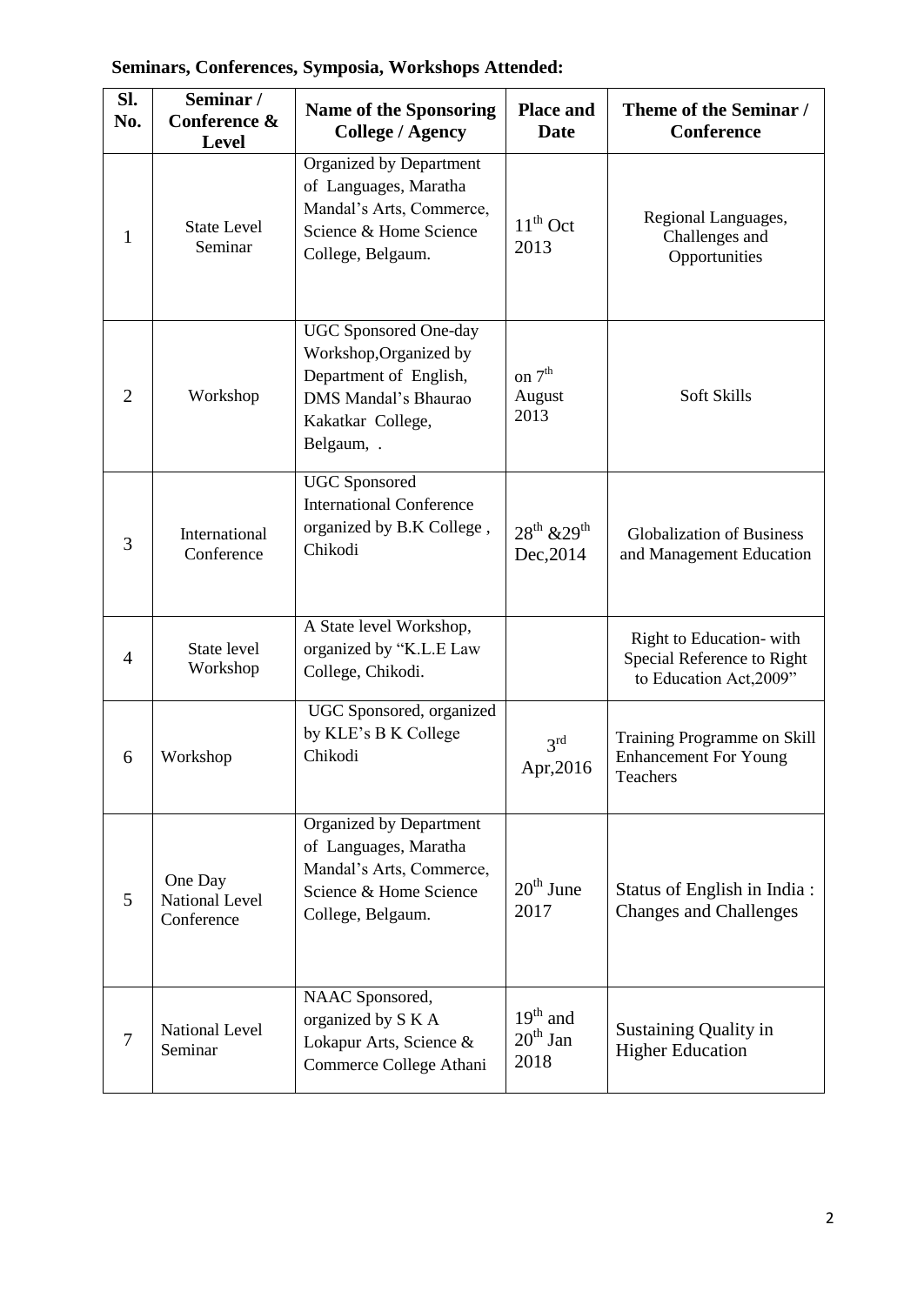| Seminars, Conferences, Symposia, Workshops Attended: |  |  |
|------------------------------------------------------|--|--|
|                                                      |  |  |

| SI.<br>No.     | Seminar /<br>Conference &<br><b>Level</b>      | <b>Name of the Sponsoring</b><br><b>College / Agency</b>                                                                                    | <b>Place and</b><br><b>Date</b>    | Theme of the Seminar /<br><b>Conference</b>                                      |
|----------------|------------------------------------------------|---------------------------------------------------------------------------------------------------------------------------------------------|------------------------------------|----------------------------------------------------------------------------------|
| 1              | <b>State Level</b><br>Seminar                  | Organized by Department<br>of Languages, Maratha<br>Mandal's Arts, Commerce,<br>Science & Home Science<br>College, Belgaum.                 | $11th$ Oct<br>2013                 | Regional Languages,<br>Challenges and<br>Opportunities                           |
| $\overline{2}$ | Workshop                                       | <b>UGC</b> Sponsored One-day<br>Workshop, Organized by<br>Department of English,<br>DMS Mandal's Bhaurao<br>Kakatkar College,<br>Belgaum, . | on $7^{\rm th}$<br>August<br>2013  | Soft Skills                                                                      |
| 3              | International<br>Conference                    | <b>UGC</b> Sponsored<br><b>International Conference</b><br>organized by B.K College,<br>Chikodi                                             | $28^{th}$ & $29^{th}$<br>Dec, 2014 | <b>Globalization of Business</b><br>and Management Education                     |
| 4              | State level<br>Workshop                        | A State level Workshop,<br>organized by "K.L.E Law<br>College, Chikodi.                                                                     |                                    | Right to Education-with<br>Special Reference to Right<br>to Education Act, 2009" |
| 6              | Workshop                                       | UGC Sponsored, organized<br>by KLE's B K College<br>Chikodi                                                                                 | 3 <sup>rd</sup><br>Apr,2016        | Training Programme on Skill<br><b>Enhancement For Young</b><br>Teachers          |
| 5              | One Day<br><b>National Level</b><br>Conference | Organized by Department<br>of Languages, Maratha<br>Mandal's Arts, Commerce,<br>Science & Home Science<br>College, Belgaum.                 | $20th$ June<br>2017                | Status of English in India:<br><b>Changes and Challenges</b>                     |
| 7              | <b>National Level</b><br>Seminar               | NAAC Sponsored,<br>organized by S K A<br>Lokapur Arts, Science &<br>Commerce College Athani                                                 | $19th$ and<br>$20th$ Jan<br>2018   | Sustaining Quality in<br><b>Higher Education</b>                                 |